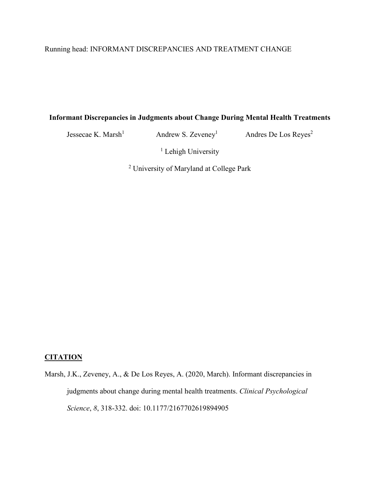# Running head: INFORMANT DISCREPANCIES AND TREATMENT CHANGE

# **Informant Discrepancies in Judgments about Change During Mental Health Treatments**

Jessecae K. Marsh<sup>1</sup> Andrew S. Zeveney<sup>1</sup> Andres De Los Reyes<sup>2</sup>

<sup>1</sup> Lehigh University

<sup>2</sup> University of Maryland at College Park

# **CITATION**

Marsh, J.K., Zeveney, A., & De Los Reyes, A. (2020, March). Informant discrepancies in judgments about change during mental health treatments. *Clinical Psychological Science*, *8*, 318-332. doi: 10.1177/2167702619894905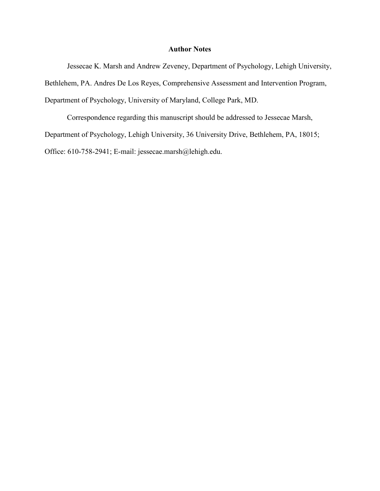# **Author Notes**

Jessecae K. Marsh and Andrew Zeveney, Department of Psychology, Lehigh University, Bethlehem, PA. Andres De Los Reyes, Comprehensive Assessment and Intervention Program, Department of Psychology, University of Maryland, College Park, MD.

Correspondence regarding this manuscript should be addressed to Jessecae Marsh, Department of Psychology, Lehigh University, 36 University Drive, Bethlehem, PA, 18015; Office: 610-758-2941; E-mail: jessecae.marsh@lehigh.edu.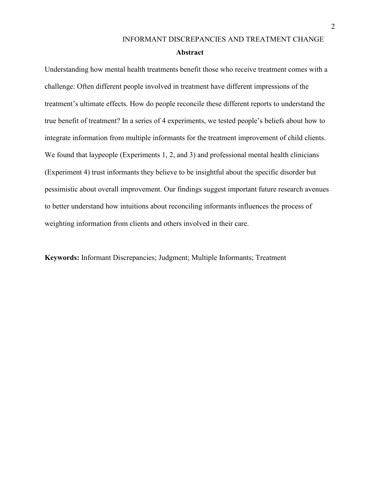Understanding how mental health treatments benefit those who receive treatment comes with a challenge: Often different people involved in treatment have different impressions of the treatment's ultimate effects. How do people reconcile these different reports to understand the true benefit of treatment? In a series of 4 experiments, we tested people's beliefs about how to integrate information from multiple informants for the treatment improvement of child clients. We found that laypeople (Experiments 1, 2, and 3) and professional mental health clinicians (Experiment 4) trust informants they believe to be insightful about the specific disorder but pessimistic about overall improvement. Our findings suggest important future research avenues to better understand how intuitions about reconciling informants influences the process of weighting information from clients and others involved in their care.

**Keywords:** Informant Discrepancies; Judgment; Multiple Informants; Treatment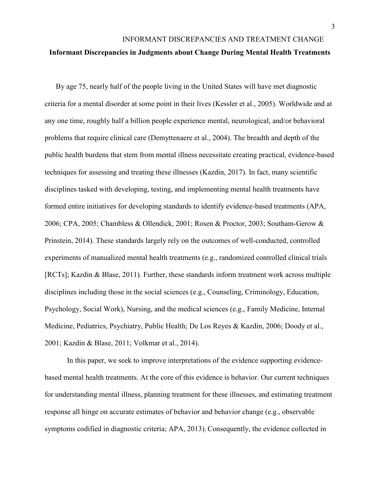#### **Informant Discrepancies in Judgments about Change During Mental Health Treatments**

By age 75, nearly half of the people living in the United States will have met diagnostic criteria for a mental disorder at some point in their lives (Kessler et al., 2005). Worldwide and at any one time, roughly half a billion people experience mental, neurological, and/or behavioral problems that require clinical care (Demyttenaere et al., 2004). The breadth and depth of the public health burdens that stem from mental illness necessitate creating practical, evidence-based techniques for assessing and treating these illnesses (Kazdin, 2017). In fact, many scientific disciplines tasked with developing, testing, and implementing mental health treatments have formed entire initiatives for developing standards to identify evidence-based treatments (APA, 2006; CPA, 2005; Chambless & Ollendick, 2001; Rosen & Proctor, 2003; Southam-Gerow & Prinstein, 2014). These standards largely rely on the outcomes of well-conducted, controlled experiments of manualized mental health treatments (e.g., randomized controlled clinical trials [RCTs]; Kazdin & Blase, 2011). Further, these standards inform treatment work across multiple disciplines including those in the social sciences (e.g., Counseling, Criminology, Education, Psychology, Social Work), Nursing, and the medical sciences (e.g., Family Medicine, Internal Medicine, Pediatrics, Psychiatry, Public Health; De Los Reyes & Kazdin, 2006; Doody et al., 2001; Kazdin & Blase, 2011; Volkmar et al., 2014).

In this paper, we seek to improve interpretations of the evidence supporting evidencebased mental health treatments. At the core of this evidence is behavior. Our current techniques for understanding mental illness, planning treatment for these illnesses, and estimating treatment response all hinge on accurate estimates of behavior and behavior change (e.g., observable symptoms codified in diagnostic criteria; APA, 2013). Consequently, the evidence collected in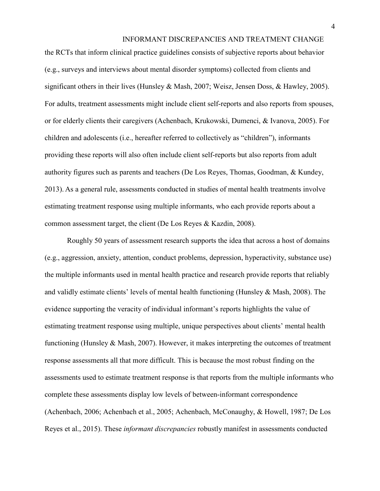the RCTs that inform clinical practice guidelines consists of subjective reports about behavior (e.g., surveys and interviews about mental disorder symptoms) collected from clients and significant others in their lives (Hunsley & Mash, 2007; Weisz, Jensen Doss, & Hawley, 2005). For adults, treatment assessments might include client self-reports and also reports from spouses, or for elderly clients their caregivers (Achenbach, Krukowski, Dumenci, & Ivanova, 2005). For children and adolescents (i.e., hereafter referred to collectively as "children"), informants providing these reports will also often include client self-reports but also reports from adult authority figures such as parents and teachers (De Los Reyes, Thomas, Goodman, & Kundey, 2013). As a general rule, assessments conducted in studies of mental health treatments involve estimating treatment response using multiple informants, who each provide reports about a common assessment target, the client (De Los Reyes & Kazdin, 2008).

Roughly 50 years of assessment research supports the idea that across a host of domains (e.g., aggression, anxiety, attention, conduct problems, depression, hyperactivity, substance use) the multiple informants used in mental health practice and research provide reports that reliably and validly estimate clients' levels of mental health functioning (Hunsley & Mash, 2008). The evidence supporting the veracity of individual informant's reports highlights the value of estimating treatment response using multiple, unique perspectives about clients' mental health functioning (Hunsley & Mash, 2007). However, it makes interpreting the outcomes of treatment response assessments all that more difficult. This is because the most robust finding on the assessments used to estimate treatment response is that reports from the multiple informants who complete these assessments display low levels of between-informant correspondence (Achenbach, 2006; Achenbach et al., 2005; Achenbach, McConaughy, & Howell, 1987; De Los Reyes et al., 2015). These *informant discrepancies* robustly manifest in assessments conducted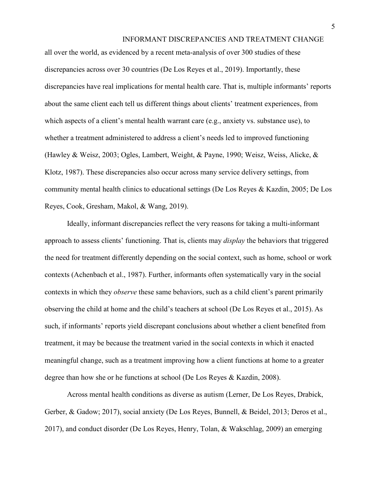all over the world, as evidenced by a recent meta-analysis of over 300 studies of these discrepancies across over 30 countries (De Los Reyes et al., 2019). Importantly, these discrepancies have real implications for mental health care. That is, multiple informants' reports about the same client each tell us different things about clients' treatment experiences, from which aspects of a client's mental health warrant care (e.g., anxiety vs. substance use), to whether a treatment administered to address a client's needs led to improved functioning (Hawley & Weisz, 2003; Ogles, Lambert, Weight, & Payne, 1990; Weisz, Weiss, Alicke, & Klotz, 1987). These discrepancies also occur across many service delivery settings, from community mental health clinics to educational settings (De Los Reyes & Kazdin, 2005; De Los Reyes, Cook, Gresham, Makol, & Wang, 2019).

Ideally, informant discrepancies reflect the very reasons for taking a multi-informant approach to assess clients' functioning. That is, clients may *display* the behaviors that triggered the need for treatment differently depending on the social context, such as home, school or work contexts (Achenbach et al., 1987). Further, informants often systematically vary in the social contexts in which they *observe* these same behaviors, such as a child client's parent primarily observing the child at home and the child's teachers at school (De Los Reyes et al., 2015). As such, if informants' reports yield discrepant conclusions about whether a client benefited from treatment, it may be because the treatment varied in the social contexts in which it enacted meaningful change, such as a treatment improving how a client functions at home to a greater degree than how she or he functions at school (De Los Reyes & Kazdin, 2008).

Across mental health conditions as diverse as autism (Lerner, De Los Reyes, Drabick, Gerber, & Gadow; 2017), social anxiety (De Los Reyes, Bunnell, & Beidel, 2013; Deros et al., 2017), and conduct disorder (De Los Reyes, Henry, Tolan, & Wakschlag, 2009) an emerging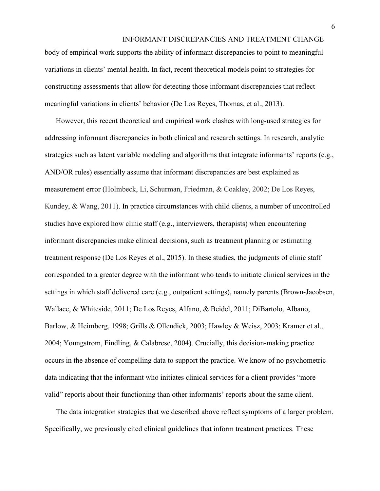body of empirical work supports the ability of informant discrepancies to point to meaningful variations in clients' mental health. In fact, recent theoretical models point to strategies for constructing assessments that allow for detecting those informant discrepancies that reflect meaningful variations in clients' behavior (De Los Reyes, Thomas, et al., 2013).

However, this recent theoretical and empirical work clashes with long-used strategies for addressing informant discrepancies in both clinical and research settings. In research, analytic strategies such as latent variable modeling and algorithms that integrate informants' reports (e.g., AND/OR rules) essentially assume that informant discrepancies are best explained as measurement error (Holmbeck, Li, Schurman, Friedman, & Coakley, 2002; De Los Reyes, Kundey, & Wang, 2011). In practice circumstances with child clients, a number of uncontrolled studies have explored how clinic staff (e.g., interviewers, therapists) when encountering informant discrepancies make clinical decisions, such as treatment planning or estimating treatment response (De Los Reyes et al., 2015). In these studies, the judgments of clinic staff corresponded to a greater degree with the informant who tends to initiate clinical services in the settings in which staff delivered care (e.g., outpatient settings), namely parents (Brown-Jacobsen, Wallace, & Whiteside, 2011; De Los Reyes, Alfano, & Beidel, 2011; DiBartolo, Albano, Barlow, & Heimberg, 1998; Grills & Ollendick, 2003; Hawley & Weisz, 2003; Kramer et al., 2004; Youngstrom, Findling, & Calabrese, 2004). Crucially, this decision-making practice occurs in the absence of compelling data to support the practice. We know of no psychometric data indicating that the informant who initiates clinical services for a client provides "more valid" reports about their functioning than other informants' reports about the same client.

The data integration strategies that we described above reflect symptoms of a larger problem. Specifically, we previously cited clinical guidelines that inform treatment practices. These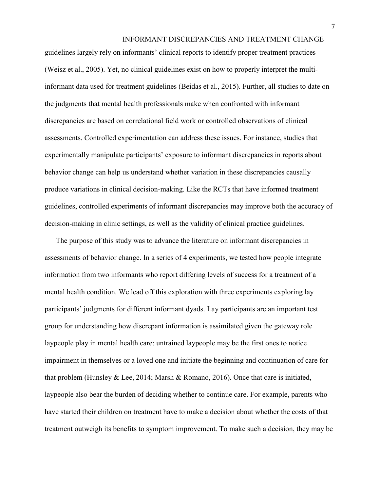guidelines largely rely on informants' clinical reports to identify proper treatment practices (Weisz et al., 2005). Yet, no clinical guidelines exist on how to properly interpret the multiinformant data used for treatment guidelines (Beidas et al., 2015). Further, all studies to date on the judgments that mental health professionals make when confronted with informant discrepancies are based on correlational field work or controlled observations of clinical assessments. Controlled experimentation can address these issues. For instance, studies that experimentally manipulate participants' exposure to informant discrepancies in reports about behavior change can help us understand whether variation in these discrepancies causally produce variations in clinical decision-making. Like the RCTs that have informed treatment guidelines, controlled experiments of informant discrepancies may improve both the accuracy of decision-making in clinic settings, as well as the validity of clinical practice guidelines.

The purpose of this study was to advance the literature on informant discrepancies in assessments of behavior change. In a series of 4 experiments, we tested how people integrate information from two informants who report differing levels of success for a treatment of a mental health condition. We lead off this exploration with three experiments exploring lay participants' judgments for different informant dyads. Lay participants are an important test group for understanding how discrepant information is assimilated given the gateway role laypeople play in mental health care: untrained laypeople may be the first ones to notice impairment in themselves or a loved one and initiate the beginning and continuation of care for that problem (Hunsley & Lee, 2014; Marsh & Romano, 2016). Once that care is initiated, laypeople also bear the burden of deciding whether to continue care. For example, parents who have started their children on treatment have to make a decision about whether the costs of that treatment outweigh its benefits to symptom improvement. To make such a decision, they may be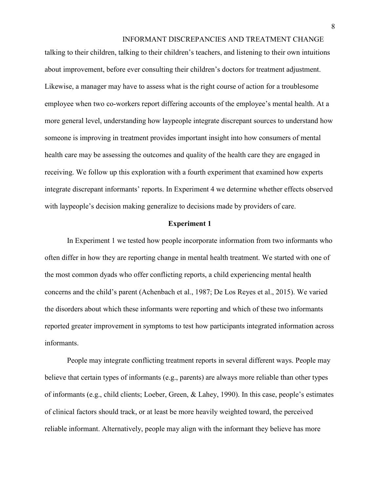talking to their children, talking to their children's teachers, and listening to their own intuitions about improvement, before ever consulting their children's doctors for treatment adjustment. Likewise, a manager may have to assess what is the right course of action for a troublesome employee when two co-workers report differing accounts of the employee's mental health. At a more general level, understanding how laypeople integrate discrepant sources to understand how someone is improving in treatment provides important insight into how consumers of mental health care may be assessing the outcomes and quality of the health care they are engaged in receiving. We follow up this exploration with a fourth experiment that examined how experts integrate discrepant informants' reports. In Experiment 4 we determine whether effects observed with laypeople's decision making generalize to decisions made by providers of care.

#### **Experiment 1**

In Experiment 1 we tested how people incorporate information from two informants who often differ in how they are reporting change in mental health treatment. We started with one of the most common dyads who offer conflicting reports, a child experiencing mental health concerns and the child's parent (Achenbach et al., 1987; De Los Reyes et al., 2015). We varied the disorders about which these informants were reporting and which of these two informants reported greater improvement in symptoms to test how participants integrated information across informants.

People may integrate conflicting treatment reports in several different ways. People may believe that certain types of informants (e.g., parents) are always more reliable than other types of informants (e.g., child clients; Loeber, Green, & Lahey, 1990). In this case, people's estimates of clinical factors should track, or at least be more heavily weighted toward, the perceived reliable informant. Alternatively, people may align with the informant they believe has more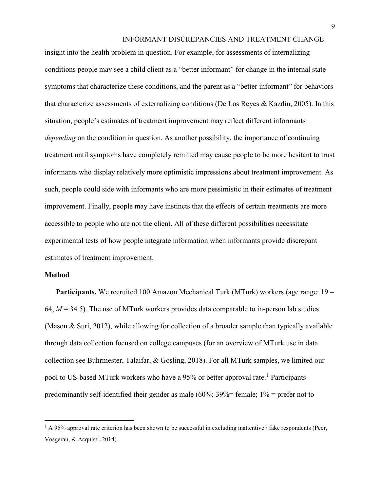insight into the health problem in question. For example, for assessments of internalizing conditions people may see a child client as a "better informant" for change in the internal state symptoms that characterize these conditions, and the parent as a "better informant" for behaviors that characterize assessments of externalizing conditions (De Los Reyes & Kazdin, 2005). In this situation, people's estimates of treatment improvement may reflect different informants *depending* on the condition in question. As another possibility, the importance of continuing treatment until symptoms have completely remitted may cause people to be more hesitant to trust informants who display relatively more optimistic impressions about treatment improvement. As such, people could side with informants who are more pessimistic in their estimates of treatment improvement. Finally, people may have instincts that the effects of certain treatments are more accessible to people who are not the client. All of these different possibilities necessitate experimental tests of how people integrate information when informants provide discrepant estimates of treatment improvement.

## **Method**

l

**Participants.** We recruited 100 Amazon Mechanical Turk (MTurk) workers (age range: 19 – 64,  $M = 34.5$ ). The use of MTurk workers provides data comparable to in-person lab studies (Mason & Suri, 2012), while allowing for collection of a broader sample than typically available through data collection focused on college campuses (for an overview of MTurk use in data collection see Buhrmester, Talaifar, & Gosling, 2018). For all MTurk samples, we limited our pool to US-based MTurk workers who have a 95% or better approval rate.<sup>[1](#page-9-0)</sup> Participants predominantly self-identified their gender as male (60%; 39%= female;  $1\%$  = prefer not to

<span id="page-9-0"></span> $1 \text{ A } 95\%$  approval rate criterion has been shown to be successful in excluding inattentive / fake respondents (Peer, Vosgerau, & Acquisti, 2014).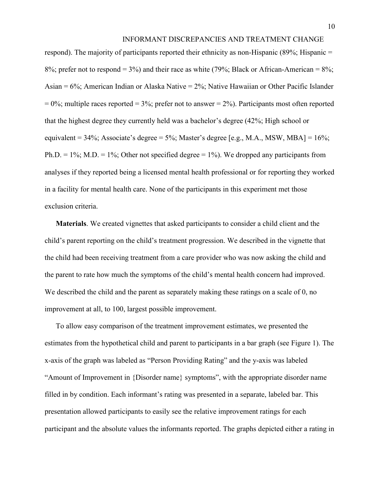respond). The majority of participants reported their ethnicity as non-Hispanic (89%; Hispanic = 8%; prefer not to respond = 3%) and their race as white (79%; Black or African-American = 8%; Asian = 6%; American Indian or Alaska Native = 2%; Native Hawaiian or Other Pacific Islander  $= 0\%$ ; multiple races reported = 3%; prefer not to answer = 2%). Participants most often reported that the highest degree they currently held was a bachelor's degree (42%; High school or equivalent =  $34\%$ ; Associate's degree =  $5\%$ ; Master's degree [e.g., M.A., MSW, MBA] =  $16\%$ ; Ph.D. = 1%; M.D. = 1%; Other not specified degree = 1%). We dropped any participants from analyses if they reported being a licensed mental health professional or for reporting they worked in a facility for mental health care. None of the participants in this experiment met those exclusion criteria.

**Materials**. We created vignettes that asked participants to consider a child client and the child's parent reporting on the child's treatment progression. We described in the vignette that the child had been receiving treatment from a care provider who was now asking the child and the parent to rate how much the symptoms of the child's mental health concern had improved. We described the child and the parent as separately making these ratings on a scale of 0, no improvement at all, to 100, largest possible improvement.

To allow easy comparison of the treatment improvement estimates, we presented the estimates from the hypothetical child and parent to participants in a bar graph (see Figure 1). The x-axis of the graph was labeled as "Person Providing Rating" and the y-axis was labeled "Amount of Improvement in {Disorder name} symptoms", with the appropriate disorder name filled in by condition. Each informant's rating was presented in a separate, labeled bar. This presentation allowed participants to easily see the relative improvement ratings for each participant and the absolute values the informants reported. The graphs depicted either a rating in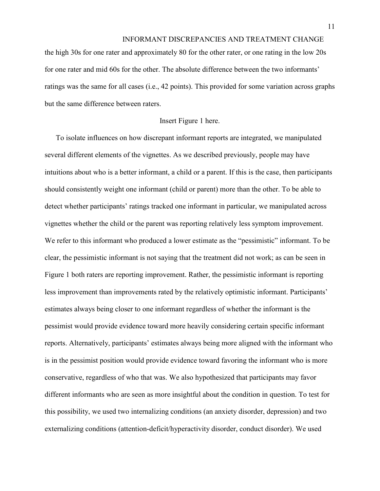the high 30s for one rater and approximately 80 for the other rater, or one rating in the low 20s for one rater and mid 60s for the other. The absolute difference between the two informants' ratings was the same for all cases (i.e., 42 points). This provided for some variation across graphs but the same difference between raters.

#### Insert Figure 1 here.

To isolate influences on how discrepant informant reports are integrated, we manipulated several different elements of the vignettes. As we described previously, people may have intuitions about who is a better informant, a child or a parent. If this is the case, then participants should consistently weight one informant (child or parent) more than the other. To be able to detect whether participants' ratings tracked one informant in particular, we manipulated across vignettes whether the child or the parent was reporting relatively less symptom improvement. We refer to this informant who produced a lower estimate as the "pessimistic" informant. To be clear, the pessimistic informant is not saying that the treatment did not work; as can be seen in Figure 1 both raters are reporting improvement. Rather, the pessimistic informant is reporting less improvement than improvements rated by the relatively optimistic informant. Participants' estimates always being closer to one informant regardless of whether the informant is the pessimist would provide evidence toward more heavily considering certain specific informant reports. Alternatively, participants' estimates always being more aligned with the informant who is in the pessimist position would provide evidence toward favoring the informant who is more conservative, regardless of who that was. We also hypothesized that participants may favor different informants who are seen as more insightful about the condition in question. To test for this possibility, we used two internalizing conditions (an anxiety disorder, depression) and two externalizing conditions (attention-deficit/hyperactivity disorder, conduct disorder). We used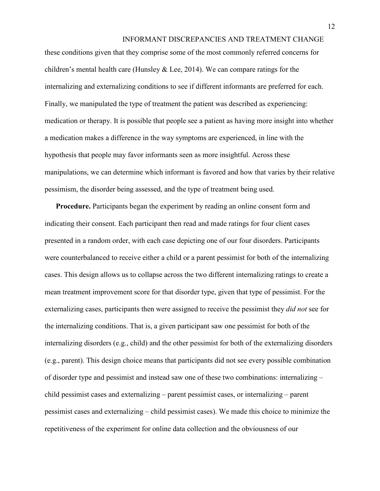these conditions given that they comprise some of the most commonly referred concerns for children's mental health care (Hunsley  $&$  Lee, 2014). We can compare ratings for the internalizing and externalizing conditions to see if different informants are preferred for each. Finally, we manipulated the type of treatment the patient was described as experiencing: medication or therapy. It is possible that people see a patient as having more insight into whether a medication makes a difference in the way symptoms are experienced, in line with the hypothesis that people may favor informants seen as more insightful. Across these manipulations, we can determine which informant is favored and how that varies by their relative pessimism, the disorder being assessed, and the type of treatment being used.

**Procedure.** Participants began the experiment by reading an online consent form and indicating their consent. Each participant then read and made ratings for four client cases presented in a random order, with each case depicting one of our four disorders. Participants were counterbalanced to receive either a child or a parent pessimist for both of the internalizing cases. This design allows us to collapse across the two different internalizing ratings to create a mean treatment improvement score for that disorder type, given that type of pessimist. For the externalizing cases, participants then were assigned to receive the pessimist they *did not* see for the internalizing conditions. That is, a given participant saw one pessimist for both of the internalizing disorders (e.g., child) and the other pessimist for both of the externalizing disorders (e.g., parent). This design choice means that participants did not see every possible combination of disorder type and pessimist and instead saw one of these two combinations: internalizing – child pessimist cases and externalizing – parent pessimist cases, or internalizing – parent pessimist cases and externalizing – child pessimist cases). We made this choice to minimize the repetitiveness of the experiment for online data collection and the obviousness of our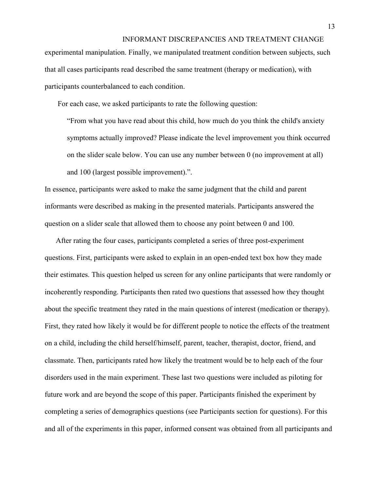experimental manipulation. Finally, we manipulated treatment condition between subjects, such that all cases participants read described the same treatment (therapy or medication), with participants counterbalanced to each condition.

For each case, we asked participants to rate the following question:

"From what you have read about this child, how much do you think the child's anxiety symptoms actually improved? Please indicate the level improvement you think occurred on the slider scale below. You can use any number between 0 (no improvement at all) and 100 (largest possible improvement).".

In essence, participants were asked to make the same judgment that the child and parent informants were described as making in the presented materials. Participants answered the question on a slider scale that allowed them to choose any point between 0 and 100.

After rating the four cases, participants completed a series of three post-experiment questions. First, participants were asked to explain in an open-ended text box how they made their estimates. This question helped us screen for any online participants that were randomly or incoherently responding. Participants then rated two questions that assessed how they thought about the specific treatment they rated in the main questions of interest (medication or therapy). First, they rated how likely it would be for different people to notice the effects of the treatment on a child, including the child herself/himself, parent, teacher, therapist, doctor, friend, and classmate. Then, participants rated how likely the treatment would be to help each of the four disorders used in the main experiment. These last two questions were included as piloting for future work and are beyond the scope of this paper. Participants finished the experiment by completing a series of demographics questions (see Participants section for questions). For this and all of the experiments in this paper, informed consent was obtained from all participants and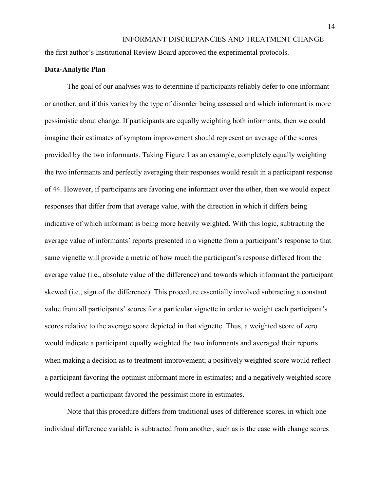the first author's Institutional Review Board approved the experimental protocols.

#### **Data-Analytic Plan**

The goal of our analyses was to determine if participants reliably defer to one informant or another, and if this varies by the type of disorder being assessed and which informant is more pessimistic about change. If participants are equally weighting both informants, then we could imagine their estimates of symptom improvement should represent an average of the scores provided by the two informants. Taking Figure 1 as an example, completely equally weighting the two informants and perfectly averaging their responses would result in a participant response of 44. However, if participants are favoring one informant over the other, then we would expect responses that differ from that average value, with the direction in which it differs being indicative of which informant is being more heavily weighted. With this logic, subtracting the average value of informants' reports presented in a vignette from a participant's response to that same vignette will provide a metric of how much the participant's response differed from the average value (i.e., absolute value of the difference) and towards which informant the participant skewed (i.e., sign of the difference). This procedure essentially involved subtracting a constant value from all participants' scores for a particular vignette in order to weight each participant's scores relative to the average score depicted in that vignette. Thus, a weighted score of zero would indicate a participant equally weighted the two informants and averaged their reports when making a decision as to treatment improvement; a positively weighted score would reflect a participant favoring the optimist informant more in estimates; and a negatively weighted score would reflect a participant favored the pessimist more in estimates.

Note that this procedure differs from traditional uses of difference scores, in which one individual difference variable is subtracted from another, such as is the case with change scores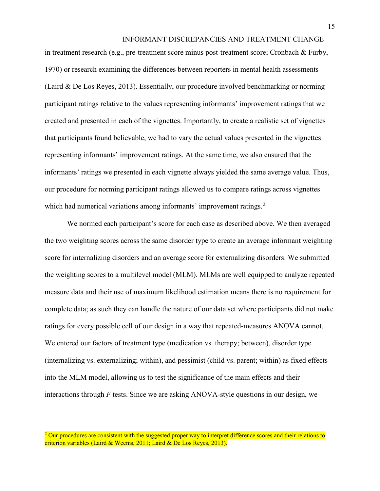in treatment research (e.g., pre-treatment score minus post-treatment score; Cronbach & Furby, 1970) or research examining the differences between reporters in mental health assessments (Laird & De Los Reyes, 2013). Essentially, our procedure involved benchmarking or norming participant ratings relative to the values representing informants' improvement ratings that we created and presented in each of the vignettes. Importantly, to create a realistic set of vignettes that participants found believable, we had to vary the actual values presented in the vignettes representing informants' improvement ratings. At the same time, we also ensured that the informants' ratings we presented in each vignette always yielded the same average value. Thus, our procedure for norming participant ratings allowed us to compare ratings across vignettes which had numerical variations among informants' improvement ratings.<sup>[2](#page-15-0)</sup>

We normed each participant's score for each case as described above. We then averaged the two weighting scores across the same disorder type to create an average informant weighting score for internalizing disorders and an average score for externalizing disorders. We submitted the weighting scores to a multilevel model (MLM). MLMs are well equipped to analyze repeated measure data and their use of maximum likelihood estimation means there is no requirement for complete data; as such they can handle the nature of our data set where participants did not make ratings for every possible cell of our design in a way that repeated-measures ANOVA cannot. We entered our factors of treatment type (medication vs. therapy; between), disorder type (internalizing vs. externalizing; within), and pessimist (child vs. parent; within) as fixed effects into the MLM model, allowing us to test the significance of the main effects and their interactions through *F* tests. Since we are asking ANOVA-style questions in our design, we

 $\overline{\phantom{a}}$ 

<span id="page-15-0"></span> $2$  Our procedures are consistent with the suggested proper way to interpret difference scores and their relations to criterion variables (Laird & Weems, 2011; Laird & De Los Reyes, 2013).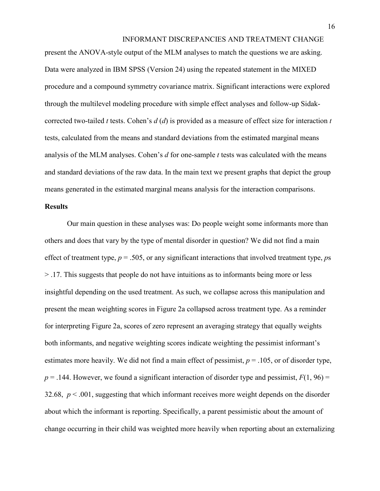present the ANOVA-style output of the MLM analyses to match the questions we are asking. Data were analyzed in IBM SPSS (Version 24) using the repeated statement in the MIXED procedure and a compound symmetry covariance matrix. Significant interactions were explored through the multilevel modeling procedure with simple effect analyses and follow-up Sidakcorrected two-tailed *t* tests. Cohen's *d* (*d*) is provided as a measure of effect size for interaction *t* tests, calculated from the means and standard deviations from the estimated marginal means analysis of the MLM analyses. Cohen's *d* for one-sample *t* tests was calculated with the means and standard deviations of the raw data. In the main text we present graphs that depict the group means generated in the estimated marginal means analysis for the interaction comparisons.

#### **Results**

Our main question in these analyses was: Do people weight some informants more than others and does that vary by the type of mental disorder in question? We did not find a main effect of treatment type,  $p = .505$ , or any significant interactions that involved treatment type,  $p_s$ > .17. This suggests that people do not have intuitions as to informants being more or less insightful depending on the used treatment. As such, we collapse across this manipulation and present the mean weighting scores in Figure 2a collapsed across treatment type. As a reminder for interpreting Figure 2a, scores of zero represent an averaging strategy that equally weights both informants, and negative weighting scores indicate weighting the pessimist informant's estimates more heavily. We did not find a main effect of pessimist,  $p = .105$ , or of disorder type,  $p = 0.144$ . However, we found a significant interaction of disorder type and pessimist,  $F(1, 96) =$ 32.68,  $p < .001$ , suggesting that which informant receives more weight depends on the disorder about which the informant is reporting. Specifically, a parent pessimistic about the amount of change occurring in their child was weighted more heavily when reporting about an externalizing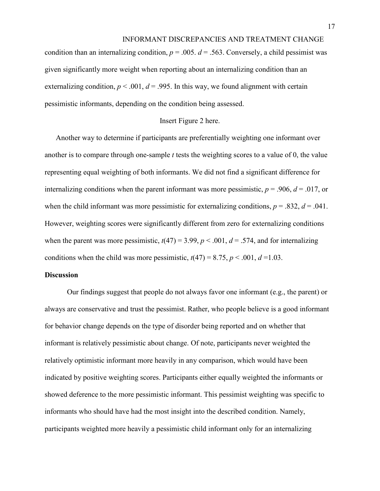condition than an internalizing condition,  $p = 0.005$ .  $d = 0.563$ . Conversely, a child pessimist was given significantly more weight when reporting about an internalizing condition than an externalizing condition,  $p < .001$ ,  $d = .995$ . In this way, we found alignment with certain pessimistic informants, depending on the condition being assessed.

#### Insert Figure 2 here.

Another way to determine if participants are preferentially weighting one informant over another is to compare through one-sample *t* tests the weighting scores to a value of 0, the value representing equal weighting of both informants. We did not find a significant difference for internalizing conditions when the parent informant was more pessimistic,  $p = .906$ ,  $d = .017$ , or when the child informant was more pessimistic for externalizing conditions,  $p = .832$ ,  $d = .041$ . However, weighting scores were significantly different from zero for externalizing conditions when the parent was more pessimistic,  $t(47) = 3.99$ ,  $p < .001$ ,  $d = .574$ , and for internalizing conditions when the child was more pessimistic,  $t(47) = 8.75$ ,  $p < .001$ ,  $d = 1.03$ .

# **Discussion**

Our findings suggest that people do not always favor one informant (e.g., the parent) or always are conservative and trust the pessimist. Rather, who people believe is a good informant for behavior change depends on the type of disorder being reported and on whether that informant is relatively pessimistic about change. Of note, participants never weighted the relatively optimistic informant more heavily in any comparison, which would have been indicated by positive weighting scores. Participants either equally weighted the informants or showed deference to the more pessimistic informant. This pessimist weighting was specific to informants who should have had the most insight into the described condition. Namely, participants weighted more heavily a pessimistic child informant only for an internalizing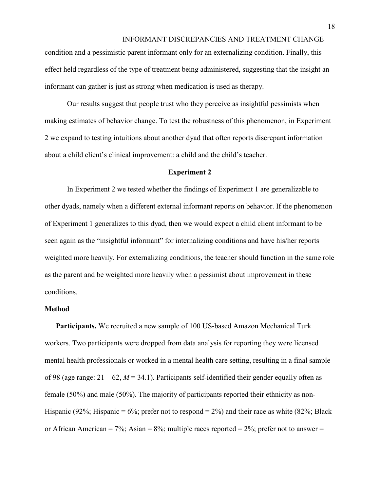condition and a pessimistic parent informant only for an externalizing condition. Finally, this effect held regardless of the type of treatment being administered, suggesting that the insight an informant can gather is just as strong when medication is used as therapy.

Our results suggest that people trust who they perceive as insightful pessimists when making estimates of behavior change. To test the robustness of this phenomenon, in Experiment 2 we expand to testing intuitions about another dyad that often reports discrepant information about a child client's clinical improvement: a child and the child's teacher.

#### **Experiment 2**

In Experiment 2 we tested whether the findings of Experiment 1 are generalizable to other dyads, namely when a different external informant reports on behavior. If the phenomenon of Experiment 1 generalizes to this dyad, then we would expect a child client informant to be seen again as the "insightful informant" for internalizing conditions and have his/her reports weighted more heavily. For externalizing conditions, the teacher should function in the same role as the parent and be weighted more heavily when a pessimist about improvement in these conditions.

#### **Method**

**Participants.** We recruited a new sample of 100 US-based Amazon Mechanical Turk workers. Two participants were dropped from data analysis for reporting they were licensed mental health professionals or worked in a mental health care setting, resulting in a final sample of 98 (age range:  $21 - 62$ ,  $M = 34.1$ ). Participants self-identified their gender equally often as female (50%) and male (50%). The majority of participants reported their ethnicity as non-Hispanic (92%; Hispanic = 6%; prefer not to respond = 2%) and their race as white (82%; Black or African American = 7%; Asian = 8%; multiple races reported =  $2\%$ ; prefer not to answer =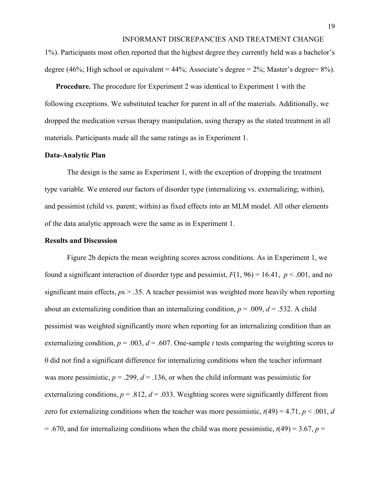1%). Participants most often reported that the highest degree they currently held was a bachelor's degree (46%; High school or equivalent = 44%; Associate's degree =  $2\%$ ; Master's degree =  $8\%$ ).

**Procedure.** The procedure for Experiment 2 was identical to Experiment 1 with the following exceptions. We substituted teacher for parent in all of the materials. Additionally, we dropped the medication versus therapy manipulation, using therapy as the stated treatment in all materials. Participants made all the same ratings as in Experiment 1.

# **Data-Analytic Plan**

The design is the same as Experiment 1, with the exception of dropping the treatment type variable. We entered our factors of disorder type (internalizing vs. externalizing; within), and pessimist (child vs. parent; within) as fixed effects into an MLM model. All other elements of the data analytic approach were the same as in Experiment 1.

#### **Results and Discussion**

Figure 2b depicts the mean weighting scores across conditions. As in Experiment 1, we found a significant interaction of disorder type and pessimist,  $F(1, 96) = 16.41$ ,  $p < .001$ , and no significant main effects,  $p_s > .35$ . A teacher pessimist was weighted more heavily when reporting about an externalizing condition than an internalizing condition,  $p = .009$ ,  $d = .532$ . A child pessimist was weighted significantly more when reporting for an internalizing condition than an externalizing condition,  $p = .003$ ,  $d = .607$ . One-sample *t* tests comparing the weighting scores to 0 did not find a significant difference for internalizing conditions when the teacher informant was more pessimistic,  $p = .299$ ,  $d = .136$ , or when the child informant was pessimistic for externalizing conditions,  $p = .812$ ,  $d = .033$ . Weighting scores were significantly different from zero for externalizing conditions when the teacher was more pessimistic,  $t(49) = 4.71$ ,  $p < .001$ , *d*  $= .670$ , and for internalizing conditions when the child was more pessimistic,  $t(49) = 3.67$ ,  $p =$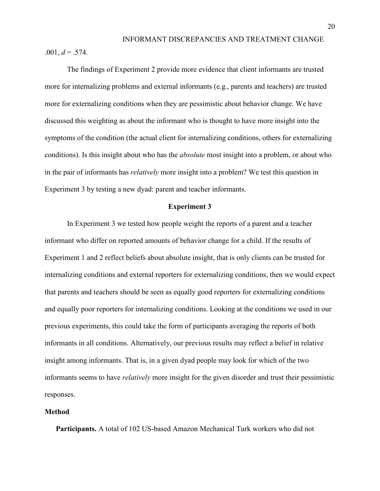$.001, d = .574.$ 

The findings of Experiment 2 provide more evidence that client informants are trusted more for internalizing problems and external informants (e.g., parents and teachers) are trusted more for externalizing conditions when they are pessimistic about behavior change. We have discussed this weighting as about the informant who is thought to have more insight into the symptoms of the condition (the actual client for internalizing conditions, others for externalizing conditions). Is this insight about who has the *absolute* most insight into a problem, or about who in the pair of informants has *relatively* more insight into a problem? We test this question in Experiment 3 by testing a new dyad: parent and teacher informants.

#### **Experiment 3**

In Experiment 3 we tested how people weight the reports of a parent and a teacher informant who differ on reported amounts of behavior change for a child. If the results of Experiment 1 and 2 reflect beliefs about absolute insight, that is only clients can be trusted for internalizing conditions and external reporters for externalizing conditions, then we would expect that parents and teachers should be seen as equally good reporters for externalizing conditions and equally poor reporters for internalizing conditions. Looking at the conditions we used in our previous experiments, this could take the form of participants averaging the reports of both informants in all conditions. Alternatively, our previous results may reflect a belief in relative insight among informants. That is, in a given dyad people may look for which of the two informants seems to have *relatively* more insight for the given disorder and trust their pessimistic responses.

#### **Method**

**Participants.** A total of 102 US-based Amazon Mechanical Turk workers who did not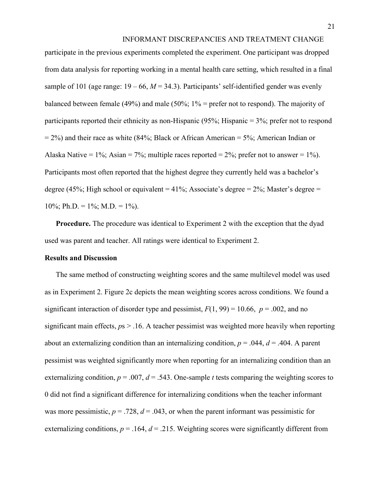participate in the previous experiments completed the experiment. One participant was dropped from data analysis for reporting working in a mental health care setting, which resulted in a final sample of 101 (age range:  $19 - 66$ ,  $M = 34.3$ ). Participants' self-identified gender was evenly balanced between female (49%) and male (50%; 1% = prefer not to respond). The majority of participants reported their ethnicity as non-Hispanic (95%; Hispanic = 3%; prefer not to respond  $= 2\%$ ) and their race as white (84%; Black or African American  $= 5\%$ ; American Indian or Alaska Native = 1%; Asian = 7%; multiple races reported = 2%; prefer not to answer = 1%). Participants most often reported that the highest degree they currently held was a bachelor's degree (45%; High school or equivalent = 41%; Associate's degree =  $2\%$ ; Master's degree = 10%; Ph.D. =  $1\%$ ; M.D. =  $1\%$ ).

**Procedure.** The procedure was identical to Experiment 2 with the exception that the dyad used was parent and teacher. All ratings were identical to Experiment 2.

### **Results and Discussion**

The same method of constructing weighting scores and the same multilevel model was used as in Experiment 2. Figure 2c depicts the mean weighting scores across conditions. We found a significant interaction of disorder type and pessimist,  $F(1, 99) = 10.66$ ,  $p = .002$ , and no significant main effects,  $p_s > 0.16$ . A teacher pessimist was weighted more heavily when reporting about an externalizing condition than an internalizing condition,  $p = .044$ ,  $d = .404$ . A parent pessimist was weighted significantly more when reporting for an internalizing condition than an externalizing condition,  $p = .007$ ,  $d = .543$ . One-sample *t* tests comparing the weighting scores to 0 did not find a significant difference for internalizing conditions when the teacher informant was more pessimistic,  $p = .728$ ,  $d = .043$ , or when the parent informant was pessimistic for externalizing conditions,  $p = .164$ ,  $d = .215$ . Weighting scores were significantly different from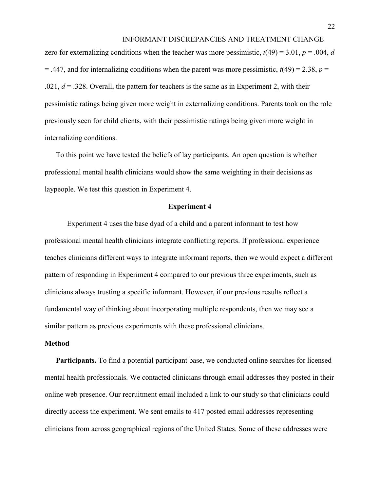zero for externalizing conditions when the teacher was more pessimistic,  $t(49) = 3.01$ ,  $p = .004$ , *d*  $=$  .447, and for internalizing conditions when the parent was more pessimistic,  $t(49) = 2.38$ ,  $p =$  $.021, d = .328$ . Overall, the pattern for teachers is the same as in Experiment 2, with their pessimistic ratings being given more weight in externalizing conditions. Parents took on the role previously seen for child clients, with their pessimistic ratings being given more weight in internalizing conditions.

To this point we have tested the beliefs of lay participants. An open question is whether professional mental health clinicians would show the same weighting in their decisions as laypeople. We test this question in Experiment 4.

#### **Experiment 4**

Experiment 4 uses the base dyad of a child and a parent informant to test how professional mental health clinicians integrate conflicting reports. If professional experience teaches clinicians different ways to integrate informant reports, then we would expect a different pattern of responding in Experiment 4 compared to our previous three experiments, such as clinicians always trusting a specific informant. However, if our previous results reflect a fundamental way of thinking about incorporating multiple respondents, then we may see a similar pattern as previous experiments with these professional clinicians.

#### **Method**

**Participants.** To find a potential participant base, we conducted online searches for licensed mental health professionals. We contacted clinicians through email addresses they posted in their online web presence. Our recruitment email included a link to our study so that clinicians could directly access the experiment. We sent emails to 417 posted email addresses representing clinicians from across geographical regions of the United States. Some of these addresses were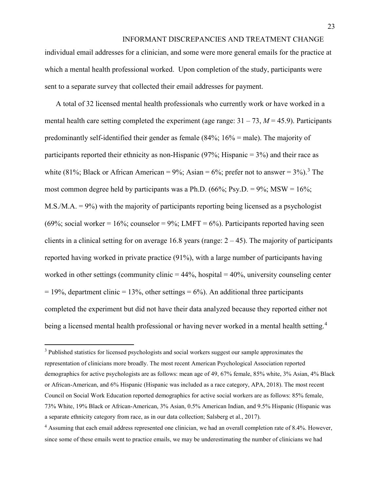individual email addresses for a clinician, and some were more general emails for the practice at which a mental health professional worked. Upon completion of the study, participants were sent to a separate survey that collected their email addresses for payment.

A total of 32 licensed mental health professionals who currently work or have worked in a mental health care setting completed the experiment (age range:  $31 - 73$ ,  $M = 45.9$ ). Participants predominantly self-identified their gender as female (84%; 16% = male). The majority of participants reported their ethnicity as non-Hispanic  $(97\%;$  Hispanic = 3%) and their race as white (81%; Black or African American =  $9\%$ ; Asian =  $6\%$ ; prefer not to answer =  $3\%$  $3\%$ ).<sup>3</sup> The most common degree held by participants was a Ph.D.  $(66\%; Psy.D. = 9\%; MSW = 16\%;$ M.S./M.A. = 9%) with the majority of participants reporting being licensed as a psychologist (69%; social worker = 16%; counselor = 9%; LMFT = 6%). Participants reported having seen clients in a clinical setting for on average 16.8 years (range:  $2 - 45$ ). The majority of participants reported having worked in private practice (91%), with a large number of participants having worked in other settings (community clinic  $= 44\%$ , hospital  $= 40\%$ , university counseling center  $= 19\%$ , department clinic = 13%, other settings = 6%). An additional three participants completed the experiment but did not have their data analyzed because they reported either not being a licensed mental health professional or having never worked in a mental health setting.<sup>[4](#page-23-1)</sup>

 $\overline{a}$ 

<span id="page-23-0"></span><sup>&</sup>lt;sup>3</sup> Published statistics for licensed psychologists and social workers suggest our sample approximates the representation of clinicians more broadly. The most recent American Psychological Association reported demographics for active psychologists are as follows: mean age of 49, 67% female, 85% white, 3% Asian, 4% Black or African-American, and 6% Hispanic (Hispanic was included as a race category, APA, 2018). The most recent Council on Social Work Education reported demographics for active social workers are as follows: 85% female, 73% White, 19% Black or African-American, 3% Asian, 0.5% American Indian, and 9.5% Hispanic (Hispanic was a separate ethnicity category from race, as in our data collection; Salsberg et al., 2017).

<span id="page-23-1"></span><sup>&</sup>lt;sup>4</sup> Assuming that each email address represented one clinician, we had an overall completion rate of 8.4%. However, since some of these emails went to practice emails, we may be underestimating the number of clinicians we had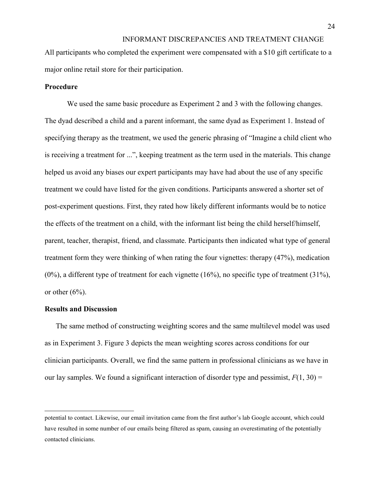All participants who completed the experiment were compensated with a \$10 gift certificate to a major online retail store for their participation.

# **Procedure**

We used the same basic procedure as Experiment 2 and 3 with the following changes. The dyad described a child and a parent informant, the same dyad as Experiment 1. Instead of specifying therapy as the treatment, we used the generic phrasing of "Imagine a child client who is receiving a treatment for ...", keeping treatment as the term used in the materials. This change helped us avoid any biases our expert participants may have had about the use of any specific treatment we could have listed for the given conditions. Participants answered a shorter set of post-experiment questions. First, they rated how likely different informants would be to notice the effects of the treatment on a child, with the informant list being the child herself/himself, parent, teacher, therapist, friend, and classmate. Participants then indicated what type of general treatment form they were thinking of when rating the four vignettes: therapy (47%), medication (0%), a different type of treatment for each vignette (16%), no specific type of treatment (31%), or other  $(6\%)$ .

#### **Results and Discussion**

 $\overline{a}$ 

The same method of constructing weighting scores and the same multilevel model was used as in Experiment 3. Figure 3 depicts the mean weighting scores across conditions for our clinician participants. Overall, we find the same pattern in professional clinicians as we have in our lay samples. We found a significant interaction of disorder type and pessimist,  $F(1, 30) =$ 

potential to contact. Likewise, our email invitation came from the first author's lab Google account, which could have resulted in some number of our emails being filtered as spam, causing an overestimating of the potentially contacted clinicians.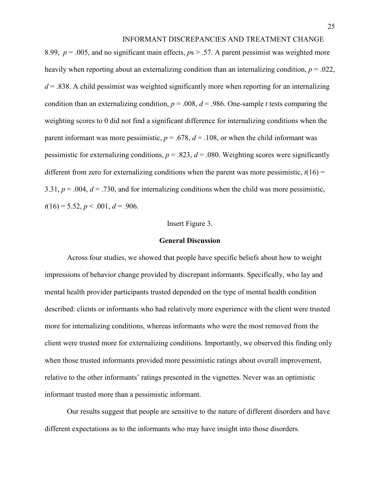8.99, *p* = .005, and no significant main effects, *p*s > .57. A parent pessimist was weighted more heavily when reporting about an externalizing condition than an internalizing condition, *p* = .022,  $d = 0.838$ . A child pessimist was weighted significantly more when reporting for an internalizing condition than an externalizing condition,  $p = .008$ ,  $d = .986$ . One-sample *t* tests comparing the weighting scores to 0 did not find a significant difference for internalizing conditions when the parent informant was more pessimistic,  $p = .678$ ,  $d = .108$ , or when the child informant was pessimistic for externalizing conditions,  $p = 0.823$ ,  $d = 0.080$ . Weighting scores were significantly different from zero for externalizing conditions when the parent was more pessimistic,  $t(16) =$ 3.31,  $p = .004$ ,  $d = .730$ , and for internalizing conditions when the child was more pessimistic,  $t(16) = 5.52, p < .001, d = .906.$ 

#### Insert Figure 3.

#### **General Discussion**

Across four studies, we showed that people have specific beliefs about how to weight impressions of behavior change provided by discrepant informants. Specifically, who lay and mental health provider participants trusted depended on the type of mental health condition described: clients or informants who had relatively more experience with the client were trusted more for internalizing conditions, whereas informants who were the most removed from the client were trusted more for externalizing conditions. Importantly, we observed this finding only when those trusted informants provided more pessimistic ratings about overall improvement, relative to the other informants' ratings presented in the vignettes. Never was an optimistic informant trusted more than a pessimistic informant.

Our results suggest that people are sensitive to the nature of different disorders and have different expectations as to the informants who may have insight into those disorders.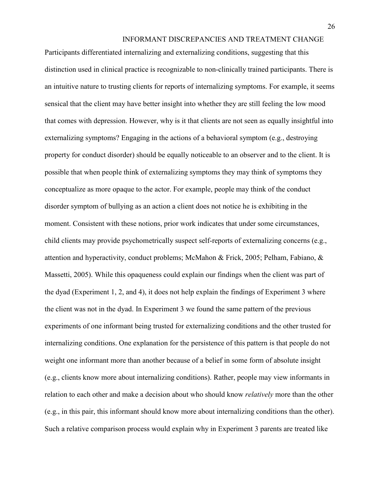Participants differentiated internalizing and externalizing conditions, suggesting that this distinction used in clinical practice is recognizable to non-clinically trained participants. There is an intuitive nature to trusting clients for reports of internalizing symptoms. For example, it seems sensical that the client may have better insight into whether they are still feeling the low mood that comes with depression. However, why is it that clients are not seen as equally insightful into externalizing symptoms? Engaging in the actions of a behavioral symptom (e.g., destroying property for conduct disorder) should be equally noticeable to an observer and to the client. It is possible that when people think of externalizing symptoms they may think of symptoms they conceptualize as more opaque to the actor. For example, people may think of the conduct disorder symptom of bullying as an action a client does not notice he is exhibiting in the moment. Consistent with these notions, prior work indicates that under some circumstances, child clients may provide psychometrically suspect self-reports of externalizing concerns (e.g., attention and hyperactivity, conduct problems; McMahon & Frick, 2005; Pelham, Fabiano, & Massetti, 2005). While this opaqueness could explain our findings when the client was part of the dyad (Experiment 1, 2, and 4), it does not help explain the findings of Experiment 3 where the client was not in the dyad. In Experiment 3 we found the same pattern of the previous experiments of one informant being trusted for externalizing conditions and the other trusted for internalizing conditions. One explanation for the persistence of this pattern is that people do not weight one informant more than another because of a belief in some form of absolute insight (e.g., clients know more about internalizing conditions). Rather, people may view informants in relation to each other and make a decision about who should know *relatively* more than the other (e.g., in this pair, this informant should know more about internalizing conditions than the other). Such a relative comparison process would explain why in Experiment 3 parents are treated like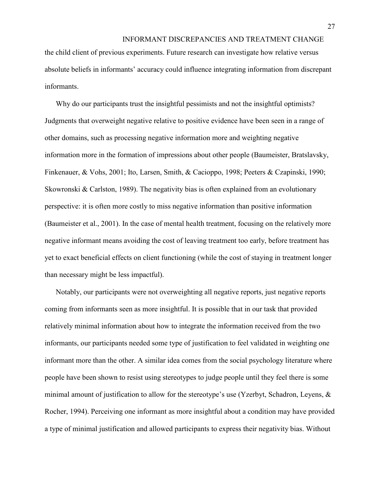the child client of previous experiments. Future research can investigate how relative versus absolute beliefs in informants' accuracy could influence integrating information from discrepant informants.

Why do our participants trust the insightful pessimists and not the insightful optimists? Judgments that overweight negative relative to positive evidence have been seen in a range of other domains, such as processing negative information more and weighting negative information more in the formation of impressions about other people (Baumeister, Bratslavsky, Finkenauer, & Vohs, 2001; Ito, Larsen, Smith, & Cacioppo, 1998; Peeters & Czapinski, 1990; Skowronski & Carlston, 1989). The negativity bias is often explained from an evolutionary perspective: it is often more costly to miss negative information than positive information (Baumeister et al., 2001). In the case of mental health treatment, focusing on the relatively more negative informant means avoiding the cost of leaving treatment too early, before treatment has yet to exact beneficial effects on client functioning (while the cost of staying in treatment longer than necessary might be less impactful).

Notably, our participants were not overweighting all negative reports, just negative reports coming from informants seen as more insightful. It is possible that in our task that provided relatively minimal information about how to integrate the information received from the two informants, our participants needed some type of justification to feel validated in weighting one informant more than the other. A similar idea comes from the social psychology literature where people have been shown to resist using stereotypes to judge people until they feel there is some minimal amount of justification to allow for the stereotype's use (Yzerbyt, Schadron, Leyens, & Rocher, 1994). Perceiving one informant as more insightful about a condition may have provided a type of minimal justification and allowed participants to express their negativity bias. Without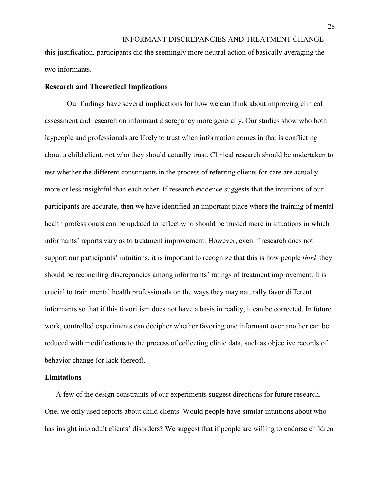INFORMANT DISCREPANCIES AND TREATMENT CHANGE this justification, participants did the seemingly more neutral action of basically averaging the two informants.

#### **Research and Theoretical Implications**

Our findings have several implications for how we can think about improving clinical assessment and research on informant discrepancy more generally. Our studies show who both laypeople and professionals are likely to trust when information comes in that is conflicting about a child client, not who they should actually trust. Clinical research should be undertaken to test whether the different constituents in the process of referring clients for care are actually more or less insightful than each other. If research evidence suggests that the intuitions of our participants are accurate, then we have identified an important place where the training of mental health professionals can be updated to reflect who should be trusted more in situations in which informants' reports vary as to treatment improvement. However, even if research does not support our participants' intuitions, it is important to recognize that this is how people *think* they should be reconciling discrepancies among informants' ratings of treatment improvement. It is crucial to train mental health professionals on the ways they may naturally favor different informants so that if this favoritism does not have a basis in reality, it can be corrected. In future work, controlled experiments can decipher whether favoring one informant over another can be reduced with modifications to the process of collecting clinic data, such as objective records of behavior change (or lack thereof).

#### **Limitations**

A few of the design constraints of our experiments suggest directions for future research. One, we only used reports about child clients. Would people have similar intuitions about who has insight into adult clients' disorders? We suggest that if people are willing to endorse children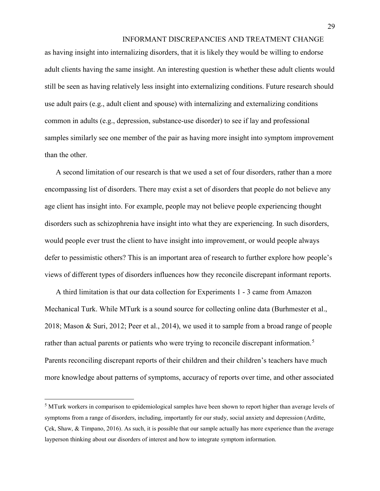as having insight into internalizing disorders, that it is likely they would be willing to endorse adult clients having the same insight. An interesting question is whether these adult clients would still be seen as having relatively less insight into externalizing conditions. Future research should use adult pairs (e.g., adult client and spouse) with internalizing and externalizing conditions common in adults (e.g., depression, substance-use disorder) to see if lay and professional samples similarly see one member of the pair as having more insight into symptom improvement than the other.

A second limitation of our research is that we used a set of four disorders, rather than a more encompassing list of disorders. There may exist a set of disorders that people do not believe any age client has insight into. For example, people may not believe people experiencing thought disorders such as schizophrenia have insight into what they are experiencing. In such disorders, would people ever trust the client to have insight into improvement, or would people always defer to pessimistic others? This is an important area of research to further explore how people's views of different types of disorders influences how they reconcile discrepant informant reports.

A third limitation is that our data collection for Experiments 1 - 3 came from Amazon Mechanical Turk. While MTurk is a sound source for collecting online data (Burhmester et al., 2018; Mason & Suri, 2012; Peer et al., 2014), we used it to sample from a broad range of people rather than actual parents or patients who were trying to reconcile discrepant information.<sup>[5](#page-29-0)</sup> Parents reconciling discrepant reports of their children and their children's teachers have much more knowledge about patterns of symptoms, accuracy of reports over time, and other associated

l

<span id="page-29-0"></span><sup>&</sup>lt;sup>5</sup> MTurk workers in comparison to epidemiological samples have been shown to report higher than average levels of symptoms from a range of disorders, including, importantly for our study, social anxiety and depression (Arditte, Çek, Shaw, & Timpano, 2016). As such, it is possible that our sample actually has more experience than the average layperson thinking about our disorders of interest and how to integrate symptom information.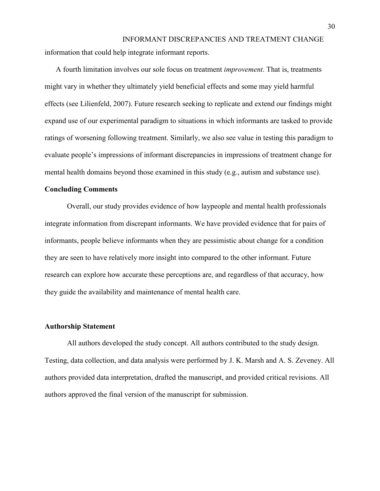information that could help integrate informant reports.

A fourth limitation involves our sole focus on treatment *improvement*. That is, treatments might vary in whether they ultimately yield beneficial effects and some may yield harmful effects (see Lilienfeld, 2007). Future research seeking to replicate and extend our findings might expand use of our experimental paradigm to situations in which informants are tasked to provide ratings of worsening following treatment. Similarly, we also see value in testing this paradigm to evaluate people's impressions of informant discrepancies in impressions of treatment change for mental health domains beyond those examined in this study (e.g., autism and substance use).

#### **Concluding Comments**

Overall, our study provides evidence of how laypeople and mental health professionals integrate information from discrepant informants. We have provided evidence that for pairs of informants, people believe informants when they are pessimistic about change for a condition they are seen to have relatively more insight into compared to the other informant. Future research can explore how accurate these perceptions are, and regardless of that accuracy, how they guide the availability and maintenance of mental health care.

### **Authorship Statement**

All authors developed the study concept. All authors contributed to the study design. Testing, data collection, and data analysis were performed by J. K. Marsh and A. S. Zeveney. All authors provided data interpretation, drafted the manuscript, and provided critical revisions. All authors approved the final version of the manuscript for submission.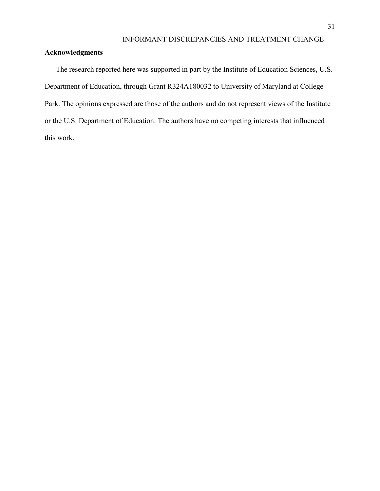# **Acknowledgments**

The research reported here was supported in part by the Institute of Education Sciences, U.S. Department of Education, through Grant R324A180032 to University of Maryland at College Park. The opinions expressed are those of the authors and do not represent views of the Institute or the U.S. Department of Education. The authors have no competing interests that influenced this work.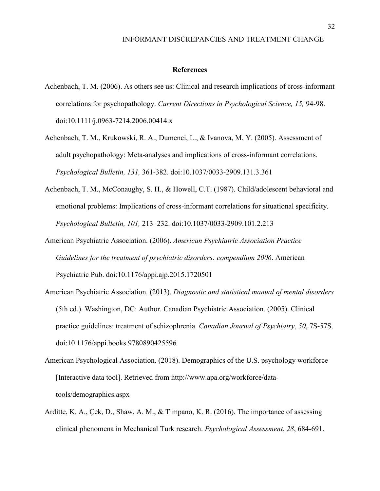#### **References**

- Achenbach, T. M. (2006). As others see us: Clinical and research implications of cross-informant correlations for psychopathology. *Current Directions in Psychological Science, 15,* 94-98. doi:10.1111/j.0963-7214.2006.00414.x
- Achenbach, T. M., Krukowski, R. A., Dumenci, L., & Ivanova, M. Y. (2005). Assessment of adult psychopathology: Meta-analyses and implications of cross-informant correlations. *Psychological Bulletin, 131,* 361-382. doi:10.1037/0033-2909.131.3.361
- Achenbach, T. M., McConaughy, S. H., & Howell, C.T. (1987). Child/adolescent behavioral and emotional problems: Implications of cross-informant correlations for situational specificity. *Psychological Bulletin, 101,* 213–232. doi:10.1037/0033-2909.101.2.213
- American Psychiatric Association. (2006). *American Psychiatric Association Practice Guidelines for the treatment of psychiatric disorders: compendium 2006*. American Psychiatric Pub. doi:10.1176/appi.ajp.2015.1720501
- American Psychiatric Association. (2013). *Diagnostic and statistical manual of mental disorders* (5th ed.). Washington, DC: Author. Canadian Psychiatric Association. (2005). Clinical practice guidelines: treatment of schizophrenia. *Canadian Journal of Psychiatry*, *50*, 7S-57S. doi:10.1176/appi.books.9780890425596
- American Psychological Association. (2018). Demographics of the U.S. psychology workforce [Interactive data tool]. Retrieved from http://www.apa.org/workforce/datatools/demographics.aspx
- Arditte, K. A., Çek, D., Shaw, A. M., & Timpano, K. R. (2016). The importance of assessing clinical phenomena in Mechanical Turk research. *Psychological Assessment*, *28*, 684-691.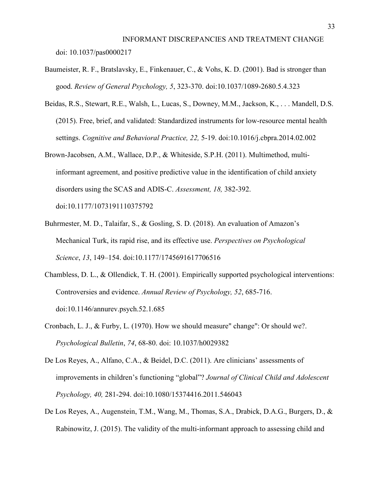- Baumeister, R. F., Bratslavsky, E., Finkenauer, C., & Vohs, K. D. (2001). Bad is stronger than good. *Review of General Psychology, 5*, 323-370. doi:10.1037/1089-2680.5.4.323
- Beidas, R.S., Stewart, R.E., Walsh, L., Lucas, S., Downey, M.M., Jackson, K., . . . Mandell, D.S. (2015). Free, brief, and validated: Standardized instruments for low-resource mental health settings. *Cognitive and Behavioral Practice, 22,* 5-19. doi:10.1016/j.cbpra.2014.02.002
- Brown-Jacobsen, A.M., Wallace, D.P., & Whiteside, S.P.H. (2011). Multimethod, multiinformant agreement, and positive predictive value in the identification of child anxiety disorders using the SCAS and ADIS-C. *Assessment, 18,* 382-392. doi:10.1177/1073191110375792
- Buhrmester, M. D., Talaifar, S., & Gosling, S. D. (2018). An evaluation of Amazon's Mechanical Turk, its rapid rise, and its effective use. *Perspectives on Psychological Science*, *13*, 149–154. doi:10.1177/1745691617706516
- Chambless, D. L., & Ollendick, T. H. (2001). Empirically supported psychological interventions: Controversies and evidence. *Annual Review of Psychology, 52*, 685-716. doi:10.1146/annurev.psych.52.1.685
- Cronbach, L. J., & Furby, L. (1970). How we should measure" change": Or should we?. *Psychological Bulletin*, *74*, 68-80. doi: [10.1037/h0029382](https://psycnet.apa.org/doi/10.1037/h0029382)
- De Los Reyes, A., Alfano, C.A., & Beidel, D.C. (2011). Are clinicians' assessments of improvements in children's functioning "global"? *Journal of Clinical Child and Adolescent Psychology, 40,* 281-294. doi:10.1080/15374416.2011.546043
- De Los Reyes, A., Augenstein, T.M., Wang, M., Thomas, S.A., Drabick, D.A.G., Burgers, D., & Rabinowitz, J. (2015). The validity of the multi-informant approach to assessing child and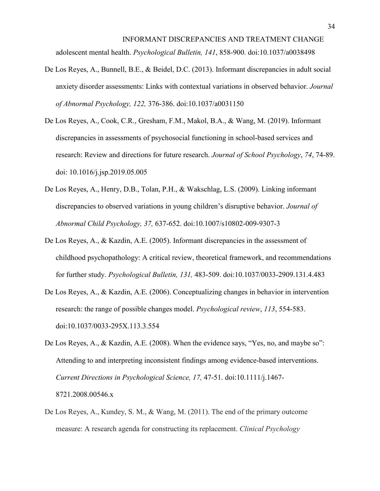INFORMANT DISCREPANCIES AND TREATMENT CHANGE adolescent mental health. *Psychological Bulletin, 141*, 858-900. doi:10.1037/a0038498

- De Los Reyes, A., Bunnell, B.E., & Beidel, D.C. (2013). Informant discrepancies in adult social anxiety disorder assessments: Links with contextual variations in observed behavior. *Journal of Abnormal Psychology, 122,* 376-386. doi:10.1037/a0031150
- De Los Reyes, A., Cook, C.R., Gresham, F.M., Makol, B.A., & Wang, M. (2019). Informant discrepancies in assessments of psychosocial functioning in school-based services and research: Review and directions for future research. *Journal of School Psychology*, *74*, 74-89. doi: 10.1016/j.jsp.2019.05.005
- De Los Reyes, A., Henry, D.B., Tolan, P.H., & Wakschlag, L.S. (2009). Linking informant discrepancies to observed variations in young children's disruptive behavior. *Journal of Abnormal Child Psychology, 37,* 637-652. doi:10.1007/s10802-009-9307-3
- De Los Reyes, A., & Kazdin, A.E. (2005). Informant discrepancies in the assessment of childhood psychopathology: A critical review, theoretical framework, and recommendations for further study. *Psychological Bulletin, 131,* 483-509. doi:10.1037/0033-2909.131.4.483
- De Los Reyes, A., & Kazdin, A.E. (2006). Conceptualizing changes in behavior in intervention research: the range of possible changes model. *Psychological review*, *113*, 554-583. doi:10.1037/0033-295X.113.3.554
- De Los Reyes, A., & Kazdin, A.E. (2008). When the evidence says, "Yes, no, and maybe so": Attending to and interpreting inconsistent findings among evidence-based interventions. *Current Directions in Psychological Science, 17,* 47-51. doi:10.1111/j.1467- 8721.2008.00546.x

# De Los Reyes, A., Kundey, S. M., & Wang, M. (2011). The end of the primary outcome measure: A research agenda for constructing its replacement. *Clinical Psychology*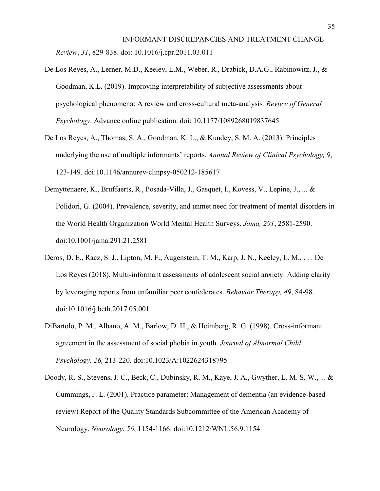INFORMANT DISCREPANCIES AND TREATMENT CHANGE *Review*, *31*, 829-838. doi: 10.1016/j.cpr.2011.03.011

- De Los Reyes, A., Lerner, M.D., Keeley, L.M., Weber, R., Drabick, D.A.G., Rabinowitz, J., & Goodman, K.L. (2019). Improving interpretability of subjective assessments about psychological phenomena: A review and cross-cultural meta-analysis*. Review of General Psychology*. Advance online publication. doi: 10.1177/1089268019837645
- De Los Reyes, A., Thomas, S. A., Goodman, K. L., & Kundey, S. M. A. (2013). Principles underlying the use of multiple informants' reports. *Annual Review of Clinical Psychology, 9*, 123-149. doi:10.1146/annurev-clinpsy-050212-185617
- Demyttenaere, K., Bruffaerts, R., Posada-Villa, J., Gasquet, I., Kovess, V., Lepine, J., ... & Polidori, G. (2004). Prevalence, severity, and unmet need for treatment of mental disorders in the World Health Organization World Mental Health Surveys. *Jama, 291*, 2581-2590. doi:10.1001/jama.291.21.2581
- Deros, D. E., Racz, S. J., Lipton, M. F., Augenstein, T. M., Karp, J. N., Keeley, L. M., . . . De Los Reyes (2018). Multi-informant assessments of adolescent social anxiety: Adding clarity by leveraging reports from unfamiliar peer confederates. *Behavior Therapy, 49*, 84-98. doi:10.1016/j.beth.2017.05.001
- DiBartolo, P. M., Albano, A. M., Barlow, D. H., & Heimberg, R. G. (1998). Cross-informant agreement in the assessment of social phobia in youth. *Journal of Abnormal Child Psychology, 26,* 213-220. doi:10.1023/A:1022624318795
- Doody, R. S., Stevens, J. C., Beck, C., Dubinsky, R. M., Kaye, J. A., Gwyther, L. M. S. W., ... & Cummings, J. L. (2001). Practice parameter: Management of dementia (an evidence-based review) Report of the Quality Standards Subcommittee of the American Academy of Neurology. *Neurology*, *56*, 1154-1166. doi:10.1212/WNL.56.9.1154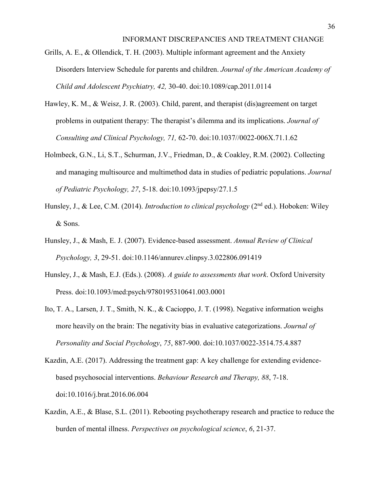- Grills, A. E., & Ollendick, T. H. (2003). Multiple informant agreement and the Anxiety Disorders Interview Schedule for parents and children. *Journal of the American Academy of Child and Adolescent Psychiatry, 42,* 30-40. doi:10.1089/cap.2011.0114
- Hawley, K. M., & Weisz, J. R. (2003). Child, parent, and therapist (dis)agreement on target problems in outpatient therapy: The therapist's dilemma and its implications. *Journal of Consulting and Clinical Psychology, 71,* 62-70. doi:10.1037//0022-006X.71.1.62
- Holmbeck, G.N., Li, S.T., Schurman, J.V., Friedman, D., & Coakley, R.M. (2002). Collecting and managing multisource and multimethod data in studies of pediatric populations. *Journal of Pediatric Psychology, 27*, 5-18. doi:10.1093/jpepsy/27.1.5
- Hunsley, J., & Lee, C.M. (2014). *Introduction to clinical psychology* (2nd ed.). Hoboken: Wiley & Sons.
- Hunsley, J., & Mash, E. J. (2007). Evidence-based assessment. *Annual Review of Clinical Psychology, 3*, 29-51. doi:10.1146/annurev.clinpsy.3.022806.091419
- Hunsley, J., & Mash, E.J. (Eds.). (2008). *A guide to assessments that work*. Oxford University Press. doi:10.1093/med:psych/9780195310641.003.0001
- Ito, T. A., Larsen, J. T., Smith, N. K., & Cacioppo, J. T. (1998). Negative information weighs more heavily on the brain: The negativity bias in evaluative categorizations. *Journal of Personality and Social Psychology*, *75*, 887-900. doi:10.1037/0022-3514.75.4.887
- Kazdin, A.E. (2017). Addressing the treatment gap: A key challenge for extending evidencebased psychosocial interventions. *Behaviour Research and Therapy, 88*, 7-18. doi:10.1016/j.brat.2016.06.004
- Kazdin, A.E., & Blase, S.L. (2011). Rebooting psychotherapy research and practice to reduce the burden of mental illness. *Perspectives on psychological science*, *6*, 21-37.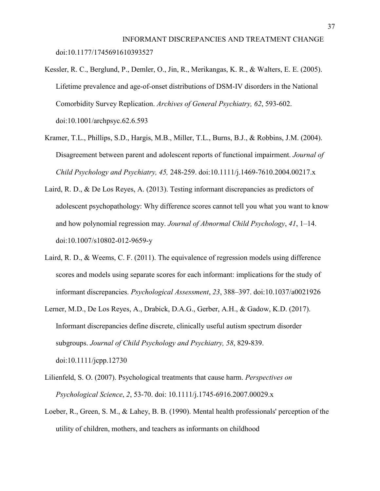INFORMANT DISCREPANCIES AND TREATMENT CHANGE doi:10.1177/1745691610393527

- Kessler, R. C., Berglund, P., Demler, O., Jin, R., Merikangas, K. R., & Walters, E. E. (2005). Lifetime prevalence and age-of-onset distributions of DSM-IV disorders in the National Comorbidity Survey Replication. *Archives of General Psychiatry, 62*, 593-602. doi:10.1001/archpsyc.62.6.593
- Kramer, T.L., Phillips, S.D., Hargis, M.B., Miller, T.L., Burns, B.J., & Robbins, J.M. (2004). Disagreement between parent and adolescent reports of functional impairment. *Journal of Child Psychology and Psychiatry, 45,* 248-259. doi:10.1111/j.1469-7610.2004.00217.x
- Laird, R. D., & De Los Reyes, A. (2013). Testing informant discrepancies as predictors of adolescent psychopathology: Why difference scores cannot tell you what you want to know and how polynomial regression may. *Journal of Abnormal Child Psychology*, *41*, 1–14. doi:10.1007/s10802-012-9659-y
- Laird, R. D., & Weems, C. F. (2011). The equivalence of regression models using difference scores and models using separate scores for each informant: implications for the study of informant discrepancies. *Psychological Assessment*, *23*, 388–397. doi:10.1037/a0021926
- Lerner, M.D., De Los Reyes, A., Drabick, D.A.G., Gerber, A.H., & Gadow, K.D. (2017). Informant discrepancies define discrete, clinically useful autism spectrum disorder subgroups. *Journal of Child Psychology and Psychiatry, 58*, 829-839. doi:10.1111/jcpp.12730
- Lilienfeld, S. O. (2007). Psychological treatments that cause harm. *Perspectives on Psychological Science*, *2*, 53-70. doi: [10.1111/j.1745-6916.2007.00029.x](https://doi.org/10.1111%2Fj.1745-6916.2007.00029.x)
- Loeber, R., Green, S. M., & Lahey, B. B. (1990). Mental health professionals' perception of the utility of children, mothers, and teachers as informants on childhood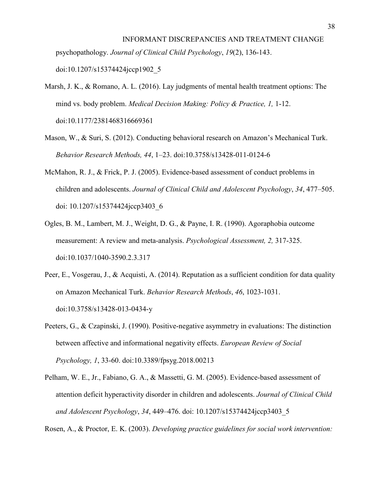# INFORMANT DISCREPANCIES AND TREATMENT CHANGE psychopathology. *Journal of Clinical Child Psychology*, *19*(2), 136-143. doi:10.1207/s15374424jccp1902\_5

- Marsh, J. K., & Romano, A. L. (2016). Lay judgments of mental health treatment options: The mind vs. body problem. *Medical Decision Making: Policy & Practice, 1,* 1-12. doi:10.1177/2381468316669361
- Mason, W., & Suri, S. (2012). Conducting behavioral research on Amazon's Mechanical Turk. *Behavior Research Methods, 44*, 1–23. doi:10.3758/s13428-011-0124-6
- McMahon, R. J., & Frick, P. J. (2005). Evidence-based assessment of conduct problems in children and adolescents. *Journal of Clinical Child and Adolescent Psychology*, *34*, 477–505. doi: 10.1207/s15374424jccp3403\_6
- Ogles, B. M., Lambert, M. J., Weight, D. G., & Payne, I. R. (1990). Agoraphobia outcome measurement: A review and meta-analysis. *Psychological Assessment, 2,* 317-325. doi:10.1037/1040-3590.2.3.317
- Peer, E., Vosgerau, J., & Acquisti, A. (2014). Reputation as a sufficient condition for data quality on Amazon Mechanical Turk. *Behavior Research Methods*, *46*, 1023-1031. doi:10.3758/s13428-013-0434-y
- Peeters, G., & Czapinski, J. (1990). Positive-negative asymmetry in evaluations: The distinction between affective and informational negativity effects. *European Review of Social Psychology, 1*, 33-60. doi:10.3389/fpsyg.2018.00213
- Pelham, W. E., Jr., Fabiano, G. A., & Massetti, G. M. (2005). Evidence-based assessment of attention deficit hyperactivity disorder in children and adolescents. *Journal of Clinical Child and Adolescent Psychology*, *34*, 449–476. doi: 10.1207/s15374424jccp3403\_5

Rosen, A., & Proctor, E. K. (2003). *Developing practice guidelines for social work intervention:*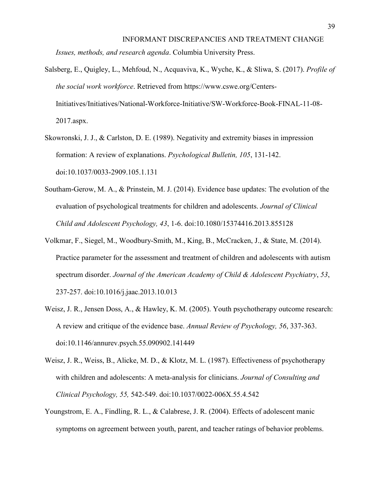Salsberg, E., Quigley, L., Mehfoud, N., Acquaviva, K., Wyche, K., & Sliwa, S. (2017). *Profile of the social work workforce*. Retrieved from https://www.cswe.org/Centers-

Initiatives/Initiatives/National-Workforce-Initiative/SW-Workforce-Book-FINAL-11-08- 2017.aspx.

- Skowronski, J. J., & Carlston, D. E. (1989). Negativity and extremity biases in impression formation: A review of explanations. *Psychological Bulletin, 105*, 131-142. doi:10.1037/0033-2909.105.1.131
- Southam-Gerow, M. A., & Prinstein, M. J. (2014). Evidence base updates: The evolution of the evaluation of psychological treatments for children and adolescents. *Journal of Clinical Child and Adolescent Psychology, 43*, 1-6. doi:10.1080/15374416.2013.855128
- Volkmar, F., Siegel, M., Woodbury-Smith, M., King, B., McCracken, J., & State, M. (2014). Practice parameter for the assessment and treatment of children and adolescents with autism spectrum disorder. *Journal of the American Academy of Child & Adolescent Psychiatry*, *53*, 237-257. doi:10.1016/j.jaac.2013.10.013
- Weisz, J. R., Jensen Doss, A., & Hawley, K. M. (2005). Youth psychotherapy outcome research: A review and critique of the evidence base. *Annual Review of Psychology, 56*, 337-363. doi:10.1146/annurev.psych.55.090902.141449
- Weisz, J. R., Weiss, B., Alicke, M. D., & Klotz, M. L. (1987). Effectiveness of psychotherapy with children and adolescents: A meta-analysis for clinicians. *Journal of Consulting and Clinical Psychology, 55,* 542-549. doi:10.1037/0022-006X.55.4.542
- Youngstrom, E. A., Findling, R. L., & Calabrese, J. R. (2004). Effects of adolescent manic symptoms on agreement between youth, parent, and teacher ratings of behavior problems.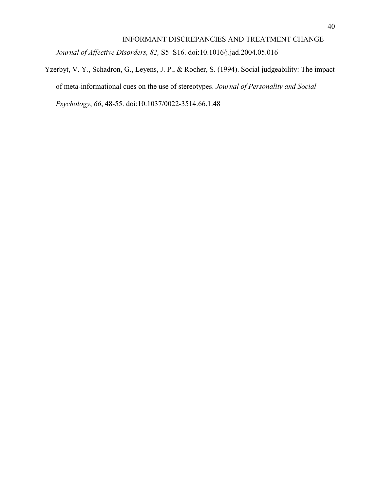*Journal of Affective Disorders, 82,* S5–S16. doi:10.1016/j.jad.2004.05.016

Yzerbyt, V. Y., Schadron, G., Leyens, J. P., & Rocher, S. (1994). Social judgeability: The impact of meta-informational cues on the use of stereotypes. *Journal of Personality and Social Psychology*, *66*, 48-55. doi:10.1037/0022-3514.66.1.48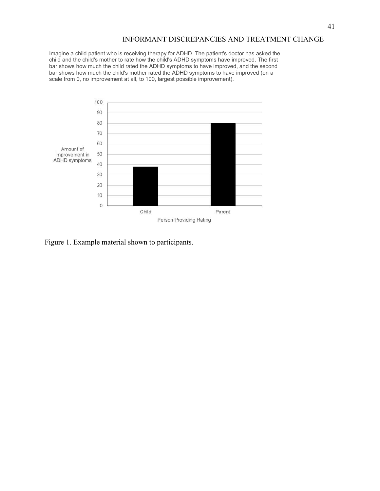Imagine a child patient who is receiving therapy for ADHD. The patient's doctor has asked the child and the child's mother to rate how the child's ADHD symptoms have improved. The first bar shows how much the child rated the ADHD symptoms to have improved, and the second bar shows how much the child's mother rated the ADHD symptoms to have improved (on a scale from 0, no improvement at all, to 100, largest possible improvement).



Figure 1. Example material shown to participants.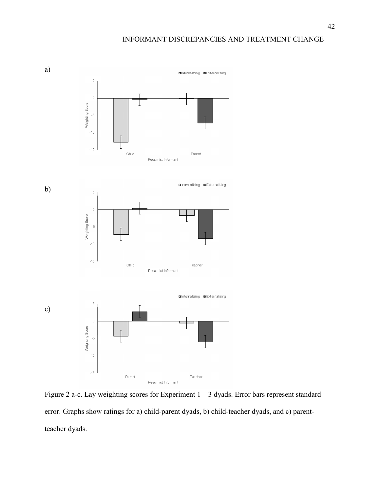

Figure 2 a-c. Lay weighting scores for Experiment 1 – 3 dyads. Error bars represent standard error. Graphs show ratings for a) child-parent dyads, b) child-teacher dyads, and c) parentteacher dyads.